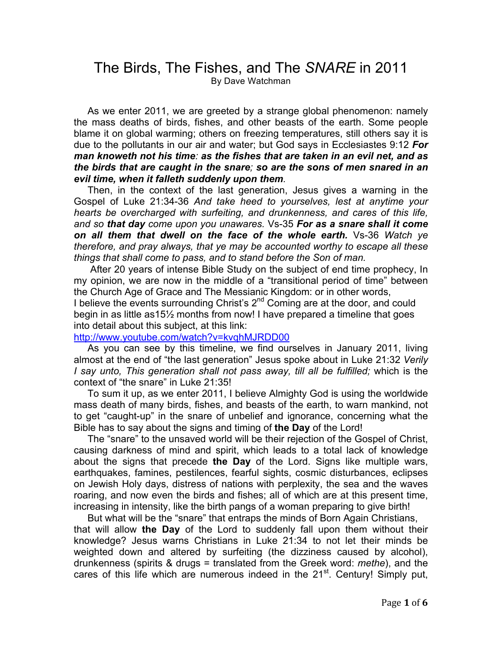## The Birds, The Fishes, and The *SNARE* in 2011 By Dave Watchman

 As we enter 2011, we are greeted by a strange global phenomenon: namely the mass deaths of birds, fishes, and other beasts of the earth. Some people blame it on global warming; others on freezing temperatures, still others say it is due to the pollutants in our air and water; but God says in Ecclesiastes 9:12 *For man knoweth not his time: as the fishes that are taken in an evil net, and as the birds that are caught in the snare; so are the sons of men snared in an evil time, when it falleth suddenly upon them.*

Then, in the context of the last generation, Jesus gives a warning in the Gospel of Luke 21:34-36 *And take heed to yourselves, lest at anytime your hearts be overcharged with surfeiting, and drunkenness, and cares of this life, and so that day come upon you unawares.* Vs-35 *For as a snare shall it come on all them that dwell on the face of the whole earth.* Vs-36 *Watch ye therefore, and pray always, that ye may be accounted worthy to escape all these things that shall come to pass, and to stand before the Son of man.*

After 20 years of intense Bible Study on the subject of end time prophecy, In my opinion, we are now in the middle of a "transitional period of time" between the Church Age of Grace and The Messianic Kingdom: or in other words, I believe the events surrounding Christ's 2<sup>nd</sup> Coming are at the door, and could begin in as little as15½ months from now! I have prepared a timeline that goes into detail about this subject, at this link:

http://www.youtube.com/watch?v=kvqhMJRDD00

 As you can see by this timeline, we find ourselves in January 2011, living almost at the end of "the last generation" Jesus spoke about in Luke 21:32 *Verily I say unto, This generation shall not pass away, till all be fulfilled;* which is the context of "the snare" in Luke 21:35!

 To sum it up, as we enter 2011, I believe Almighty God is using the worldwide mass death of many birds, fishes, and beasts of the earth, to warn mankind, not to get "caught-up" in the snare of unbelief and ignorance, concerning what the Bible has to say about the signs and timing of **the Day** of the Lord!

 The "snare" to the unsaved world will be their rejection of the Gospel of Christ, causing darkness of mind and spirit, which leads to a total lack of knowledge about the signs that precede **the Day** of the Lord. Signs like multiple wars, earthquakes, famines, pestilences, fearful sights, cosmic disturbances, eclipses on Jewish Holy days, distress of nations with perplexity, the sea and the waves roaring, and now even the birds and fishes; all of which are at this present time, increasing in intensity, like the birth pangs of a woman preparing to give birth!

 But what will be the "snare" that entraps the minds of Born Again Christians, that will allow **the Day** of the Lord to suddenly fall upon them without their knowledge? Jesus warns Christians in Luke 21:34 to not let their minds be weighted down and altered by surfeiting (the dizziness caused by alcohol), drunkenness (spirits & drugs = translated from the Greek word: *methe*), and the cares of this life which are numerous indeed in the  $21<sup>st</sup>$ . Century! Simply put,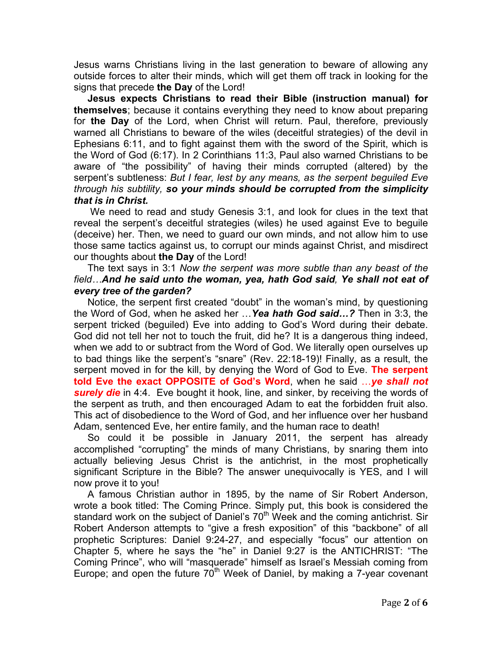Jesus warns Christians living in the last generation to beware of allowing any outside forces to alter their minds, which will get them off track in looking for the signs that precede **the Day** of the Lord!

 **Jesus expects Christians to read their Bible (instruction manual) for themselves**; because it contains everything they need to know about preparing for **the Day** of the Lord, when Christ will return. Paul, therefore, previously warned all Christians to beware of the wiles (deceitful strategies) of the devil in Ephesians 6:11, and to fight against them with the sword of the Spirit, which is the Word of God (6:17). In 2 Corinthians 11:3, Paul also warned Christians to be aware of "the possibility" of having their minds corrupted (altered) by the serpent's subtleness: *But I fear, lest by any means, as the serpent beguiled Eve through his subtility, so your minds should be corrupted from the simplicity that is in Christ.*

We need to read and study Genesis 3:1, and look for clues in the text that reveal the serpent's deceitful strategies (wiles) he used against Eve to beguile (deceive) her. Then, we need to guard our own minds, and not allow him to use those same tactics against us, to corrupt our minds against Christ, and misdirect our thoughts about **the Day** of the Lord!

## The text says in 3:1 *Now the serpent was more subtle than any beast of the field…And he said unto the woman, yea, hath God said, Ye shall not eat of every tree of the garden?*

Notice, the serpent first created "doubt" in the woman's mind, by questioning the Word of God, when he asked her …*Yea hath God said…?* Then in 3:3, the serpent tricked (beguiled) Eve into adding to God's Word during their debate. God did not tell her not to touch the fruit, did he? It is a dangerous thing indeed, when we add to or subtract from the Word of God. We literally open ourselves up to bad things like the serpent's "snare" (Rev. 22:18-19)! Finally, as a result, the serpent moved in for the kill, by denying the Word of God to Eve. **The serpent told Eve the exact OPPOSITE of God's Word**, when he said …*ye shall not surely die* in 4:4. Eve bought it hook, line, and sinker, by receiving the words of the serpent as truth, and then encouraged Adam to eat the forbidden fruit also. This act of disobedience to the Word of God, and her influence over her husband Adam, sentenced Eve, her entire family, and the human race to death!

So could it be possible in January 2011, the serpent has already accomplished "corrupting" the minds of many Christians, by snaring them into actually believing Jesus Christ is the antichrist, in the most prophetically significant Scripture in the Bible? The answer unequivocally is YES, and I will now prove it to you!

 A famous Christian author in 1895, by the name of Sir Robert Anderson, wrote a book titled: The Coming Prince. Simply put, this book is considered the standard work on the subject of Daniel's  $70<sup>th</sup>$  Week and the coming antichrist. Sir Robert Anderson attempts to "give a fresh exposition" of this "backbone" of all prophetic Scriptures: Daniel 9:24-27, and especially "focus" our attention on Chapter 5, where he says the "he" in Daniel 9:27 is the ANTICHRIST: "The Coming Prince", who will "masquerade" himself as Israel's Messiah coming from Europe; and open the future  $70<sup>th</sup>$  Week of Daniel, by making a 7-year covenant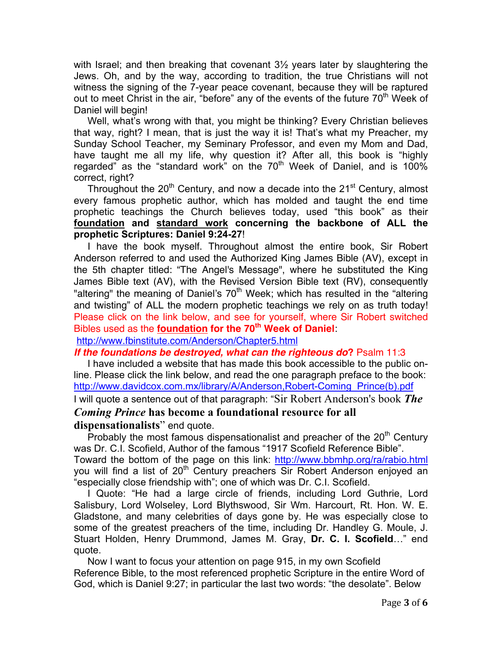with Israel; and then breaking that covenant  $3\frac{1}{2}$  years later by slaughtering the Jews. Oh, and by the way, according to tradition, the true Christians will not witness the signing of the 7-year peace covenant, because they will be raptured out to meet Christ in the air, "before" any of the events of the future  $70<sup>th</sup>$  Week of Daniel will begin!

 Well, what's wrong with that, you might be thinking? Every Christian believes that way, right? I mean, that is just the way it is! That's what my Preacher, my Sunday School Teacher, my Seminary Professor, and even my Mom and Dad, have taught me all my life, why question it? After all, this book is "highly regarded" as the "standard work" on the  $70<sup>th</sup>$  Week of Daniel, and is 100% correct, right?

Throughout the  $20<sup>th</sup>$  Century, and now a decade into the  $21<sup>st</sup>$  Century, almost every famous prophetic author, which has molded and taught the end time prophetic teachings the Church believes today, used "this book" as their **foundation and standard work concerning the backbone of ALL the prophetic Scriptures: Daniel 9:24-27**!

 I have the book myself. Throughout almost the entire book, Sir Robert Anderson referred to and used the Authorized King James Bible (AV), except in the 5th chapter titled: "The Angel's Message", where he substituted the King James Bible text (AV), with the Revised Version Bible text (RV), consequently "altering" the meaning of Daniel's  $70<sup>th</sup>$  Week; which has resulted in the "altering" and twisting" of ALL the modern prophetic teachings we rely on as truth today! Please click on the link below, and see for yourself, where Sir Robert switched Bibles used as the **foundation for the 70th Week of Daniel**:

http://www.fbinstitute.com/Anderson/Chapter5.html

*If the foundations be destroyed, what can the righteous do***?** Psalm 11:3

 I have included a website that has made this book accessible to the public online. Please click the link below, and read the one paragraph preface to the book: http://www.davidcox.com.mx/library/A/Anderson,Robert-Coming\_Prince(b).pdf I will quote a sentence out of that paragraph: "Sir Robert Anderson's book *The* 

## *Coming Prince* **has become a foundational resource for all dispensationalists**" end quote.

Probably the most famous dispensationalist and preacher of the  $20<sup>th</sup>$  Century was Dr. C.I. Scofield, Author of the famous "1917 Scofield Reference Bible". Toward the bottom of the page on this link: http://www.bbmhp.org/ra/rabio.html you will find a list of 20<sup>th</sup> Century preachers Sir Robert Anderson enjoyed an "especially close friendship with"; one of which was Dr. C.I. Scofield.

 I Quote: "He had a large circle of friends, including Lord Guthrie, Lord Salisbury, Lord Wolseley, Lord Blythswood, Sir Wm. Harcourt, Rt. Hon. W. E. Gladstone, and many celebrities of days gone by. He was especially close to some of the greatest preachers of the time, including Dr. Handley G. Moule, J. Stuart Holden, Henry Drummond, James M. Gray, **Dr. C. I. Scofield**…" end quote.

 Now I want to focus your attention on page 915, in my own Scofield Reference Bible, to the most referenced prophetic Scripture in the entire Word of God, which is Daniel 9:27; in particular the last two words: "the desolate". Below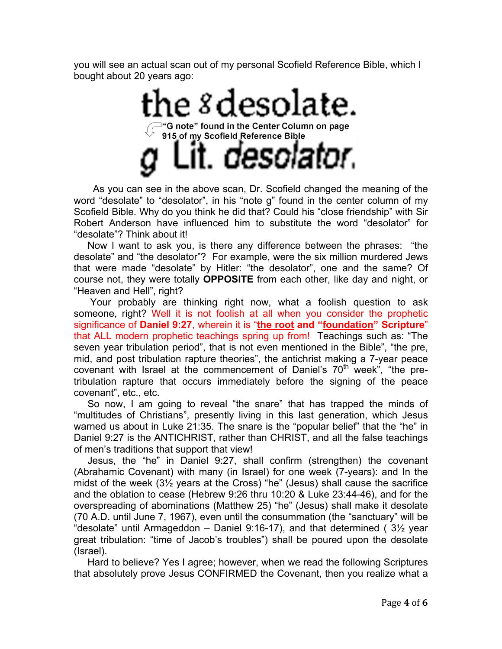you will see an actual scan out of my personal Scofield Reference Bible, which I bought about 20 years ago:

> he 8 desolate. "G note" found in the Center Column on page 915 of my Scofield Reference Bible solator.

 As you can see in the above scan, Dr. Scofield changed the meaning of the word "desolate" to "desolator", in his "note g" found in the center column of my Scofield Bible. Why do you think he did that? Could his "close friendship" with Sir Robert Anderson have influenced him to substitute the word "desolator" for "desolate"? Think about it!

 Now I want to ask you, is there any difference between the phrases: "the desolate" and "the desolator"? For example, were the six million murdered Jews that were made "desolate" by Hitler: "the desolator", one and the same? Of course not, they were totally **OPPOSITE** from each other, like day and night, or "Heaven and Hell", right?

 Your probably are thinking right now, what a foolish question to ask someone, right? Well it is not foolish at all when you consider the prophetic significance of **Daniel 9:27**, wherein it is "**the root and "foundation" Scripture**" that ALL modern prophetic teachings spring up from! Teachings such as: "The seven year tribulation period", that is not even mentioned in the Bible", "the pre, mid, and post tribulation rapture theories", the antichrist making a 7-year peace covenant with Israel at the commencement of Daniel's  $70<sup>th</sup>$  week", "the pretribulation rapture that occurs immediately before the signing of the peace covenant", etc., etc.

 So now, I am going to reveal "the snare" that has trapped the minds of "multitudes of Christians", presently living in this last generation, which Jesus warned us about in Luke 21:35. The snare is the "popular belief" that the "he" in Daniel 9:27 is the ANTICHRIST, rather than CHRIST, and all the false teachings of men's traditions that support that view!

 Jesus, the "he" in Daniel 9:27, shall confirm (strengthen) the covenant (Abrahamic Covenant) with many (in Israel) for one week (7-years): and In the midst of the week (3½ years at the Cross) "he" (Jesus) shall cause the sacrifice and the oblation to cease (Hebrew 9:26 thru 10:20 & Luke 23:44-46), and for the overspreading of abominations (Matthew 25) "he" (Jesus) shall make it desolate (70 A.D. until June 7, 1967), even until the consummation (the "sanctuary" will be "desolate" until Armageddon – Daniel 9:16-17), and that determined ( $3\frac{1}{2}$  year great tribulation: "time of Jacob's troubles") shall be poured upon the desolate (Israel).

 Hard to believe? Yes I agree; however, when we read the following Scriptures that absolutely prove Jesus CONFIRMED the Covenant, then you realize what a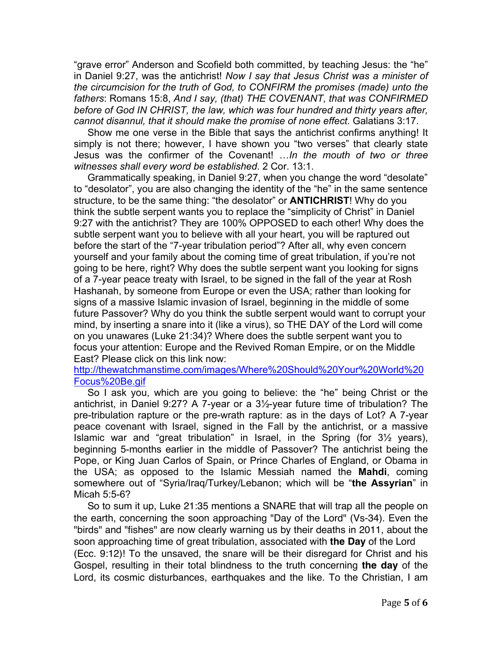"grave error" Anderson and Scofield both committed, by teaching Jesus: the "he" in Daniel 9:27, was the antichrist! *Now I say that Jesus Christ was a minister of the circumcision for the truth of God, to CONFIRM the promises (made) unto the fathers*: Romans 15:8, *And I say, (that) THE COVENANT, that was CONFIRMED before of God IN CHRIST, the law, which was four hundred and thirty years after, cannot disannul, that it should make the promise of none effect.* Galatians 3:17.

 Show me one verse in the Bible that says the antichrist confirms anything! It simply is not there; however, I have shown you "two verses" that clearly state Jesus was the confirmer of the Covenant! …*In the mouth of two or three witnesses shall every word be established*. 2 Cor. 13:1.

 Grammatically speaking, in Daniel 9:27, when you change the word "desolate" to "desolator", you are also changing the identity of the "he" in the same sentence structure, to be the same thing: "the desolator" or **ANTICHRIST**! Why do you think the subtle serpent wants you to replace the "simplicity of Christ" in Daniel 9:27 with the antichrist? They are 100% OPPOSED to each other! Why does the subtle serpent want you to believe with all your heart, you will be raptured out before the start of the "7-year tribulation period"? After all, why even concern yourself and your family about the coming time of great tribulation, if you're not going to be here, right? Why does the subtle serpent want you looking for signs of a 7-year peace treaty with Israel, to be signed in the fall of the year at Rosh Hashanah, by someone from Europe or even the USA; rather than looking for signs of a massive Islamic invasion of Israel, beginning in the middle of some future Passover? Why do you think the subtle serpent would want to corrupt your mind, by inserting a snare into it (like a virus), so THE DAY of the Lord will come on you unawares (Luke 21:34)? Where does the subtle serpent want you to focus your attention: Europe and the Revived Roman Empire, or on the Middle East? Please click on this link now:

http://thewatchmanstime.com/images/Where%20Should%20Your%20World%20 Focus%20Be.gif

 So I ask you, which are you going to believe: the "he" being Christ or the antichrist, in Daniel 9:27? A 7-year or a 3½-year future time of tribulation? The pre-tribulation rapture or the pre-wrath rapture: as in the days of Lot? A 7-year peace covenant with Israel, signed in the Fall by the antichrist, or a massive Islamic war and "great tribulation" in Israel, in the Spring (for 3½ years), beginning 5-months earlier in the middle of Passover? The antichrist being the Pope, or King Juan Carlos of Spain, or Prince Charles of England, or Obama in the USA; as opposed to the Islamic Messiah named the **Mahdi**, coming somewhere out of "Syria/Iraq/Turkey/Lebanon; which will be "**the Assyrian**" in Micah 5:5-6?

 So to sum it up, Luke 21:35 mentions a SNARE that will trap all the people on the earth, concerning the soon approaching "Day of the Lord" (Vs-34). Even the "birds" and "fishes" are now clearly warning us by their deaths in 2011, about the soon approaching time of great tribulation, associated with **the Day** of the Lord (Ecc. 9:12)! To the unsaved, the snare will be their disregard for Christ and his Gospel, resulting in their total blindness to the truth concerning **the day** of the Lord, its cosmic disturbances, earthquakes and the like. To the Christian, I am